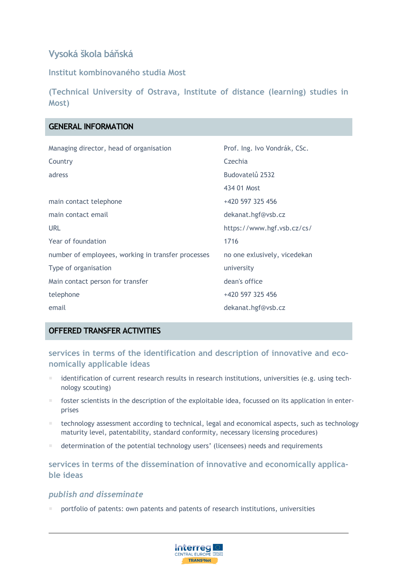# **Vysoká škola báňská**

**Institut kombinovaného studia Most**

**(Technical University of Ostrava, Institute of distance (learning) studies in Most)**

## **GENERAL INFORMATION**

| Managing director, head of organisation            | Prof. Ing. Ivo Vondrák, CSc. |
|----------------------------------------------------|------------------------------|
| Country                                            | Czechia                      |
| adress                                             | Budovatelů 2532              |
|                                                    | 434 01 Most                  |
| main contact telephone                             | +420 597 325 456             |
| main contact email                                 | dekanat.hgf@vsb.cz           |
| URL                                                | https://www.hgf.vsb.cz/cs/   |
| Year of foundation                                 | 1716                         |
| number of employees, working in transfer processes | no one exlusively, vicedekan |
| Type of organisation                               | university                   |
| Main contact person for transfer                   | dean's office                |
| telephone                                          | +420 597 325 456             |
| email                                              | dekanat.hgf@vsb.cz           |

## **OFFERED TRANSFER ACTIVITIES**

**services in terms of the identification and description of innovative and economically applicable ideas**

- identification of current research results in research institutions, universities (e.g. using technology scouting)
- foster scientists in the description of the exploitable idea, focussed on its application in enterprises
- **thanology assessment according to technical, legal and economical aspects, such as technology** maturity level, patentability, standard conformity, necessary licensing procedures)
- determination of the potential technology users' (licensees) needs and requirements

**services in terms of the dissemination of innovative and economically applicable ideas**

#### *publish and disseminate*

portfolio of patents: own patents and patents of research institutions, universities

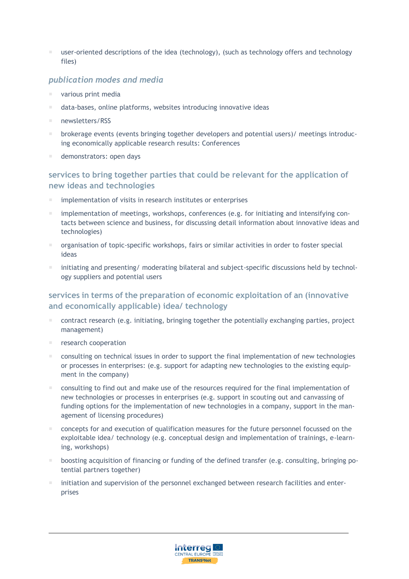user-oriented descriptions of the idea (technology), (such as technology offers and technology files)

### *publication modes and media*

- various print media
- data-bases, online platforms, websites introducing innovative ideas
- newsletters/RSS
- brokerage events (events bringing together developers and potential users)/ meetings introducing economically applicable research results: Conferences
- demonstrators: open days

### **services to bring together parties that could be relevant for the application of new ideas and technologies**

- implementation of visits in research institutes or enterprises
- implementation of meetings, workshops, conferences (e.g. for initiating and intensifying contacts between science and business, for discussing detail information about innovative ideas and technologies)
- organisation of topic-specific workshops, fairs or similar activities in order to foster special ideas
- **initiating and presenting/ moderating bilateral and subject-specific discussions held by technol**ogy suppliers and potential users

# **services in terms of the preparation of economic exploitation of an (innovative and economically applicable) idea/ technology**

- contract research (e.g. initiating, bringing together the potentially exchanging parties, project management)
- research cooperation
- **EXCONSTED 1** consulting on technical issues in order to support the final implementation of new technologies or processes in enterprises: (e.g. support for adapting new technologies to the existing equipment in the company)
- consulting to find out and make use of the resources required for the final implementation of new technologies or processes in enterprises (e.g. support in scouting out and canvassing of funding options for the implementation of new technologies in a company, support in the management of licensing procedures)
- concepts for and execution of qualification measures for the future personnel focussed on the exploitable idea/ technology (e.g. conceptual design and implementation of trainings, e-learning, workshops)
- boosting acquisition of financing or funding of the defined transfer (e.g. consulting, bringing potential partners together)
- initiation and supervision of the personnel exchanged between research facilities and enterprises